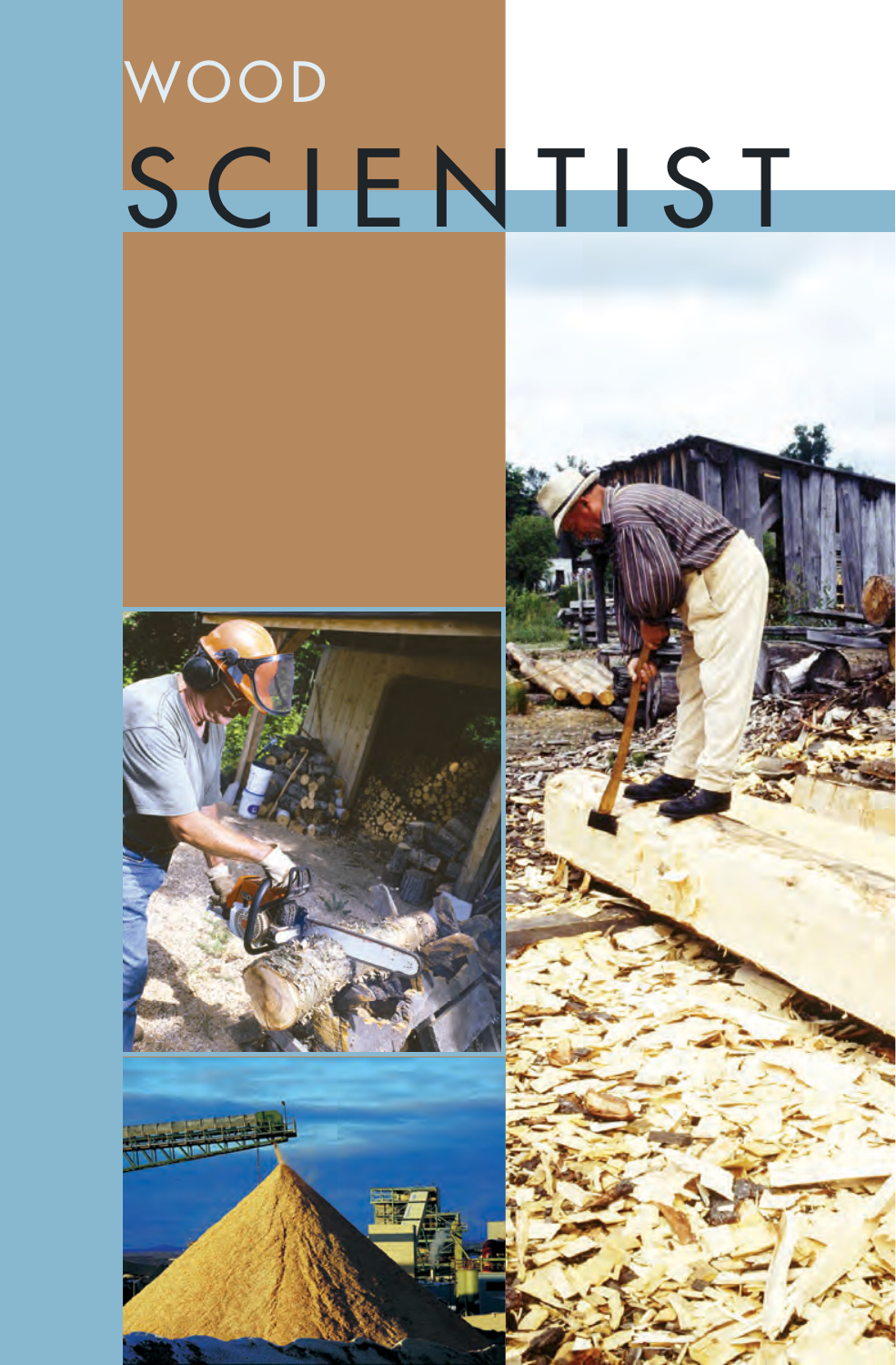# WOOD SCIENTIST